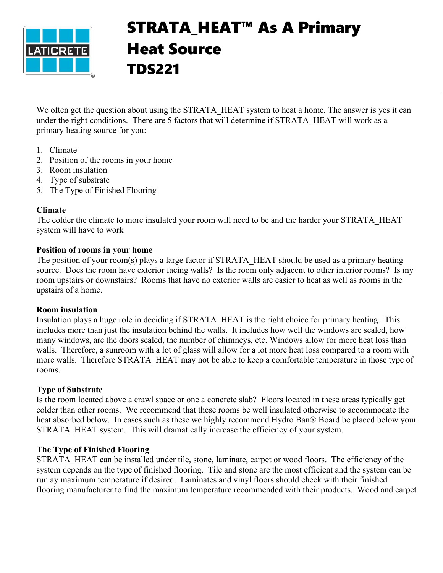

# STRATA\_HEAT™ As A Primary Heat Source TDS221

We often get the question about using the STRATA\_HEAT system to heat a home. The answer is yes it can under the right conditions. There are 5 factors that will determine if STRATA\_HEAT will work as a primary heating source for you:

- 1. Climate
- 2. Position of the rooms in your home
- 3. Room insulation
- 4. Type of substrate
- 5. The Type of Finished Flooring

## **Climate**

The colder the climate to more insulated your room will need to be and the harder your STRATA\_HEAT system will have to work

### **Position of rooms in your home**

The position of your room(s) plays a large factor if STRATA\_HEAT should be used as a primary heating source. Does the room have exterior facing walls? Is the room only adjacent to other interior rooms? Is my room upstairs or downstairs? Rooms that have no exterior walls are easier to heat as well as rooms in the upstairs of a home.

#### **Room insulation**

Insulation plays a huge role in deciding if STRATA\_HEAT is the right choice for primary heating. This includes more than just the insulation behind the walls. It includes how well the windows are sealed, how many windows, are the doors sealed, the number of chimneys, etc. Windows allow for more heat loss than walls. Therefore, a sunroom with a lot of glass will allow for a lot more heat loss compared to a room with more walls. Therefore STRATA HEAT may not be able to keep a comfortable temperature in those type of rooms.

## **Type of Substrate**

Is the room located above a crawl space or one a concrete slab? Floors located in these areas typically get colder than other rooms. We recommend that these rooms be well insulated otherwise to accommodate the heat absorbed below. In cases such as these we highly recommend Hydro Ban® Board be placed below your STRATA HEAT system. This will dramatically increase the efficiency of your system.

## **The Type of Finished Flooring**

STRATA HEAT can be installed under tile, stone, laminate, carpet or wood floors. The efficiency of the system depends on the type of finished flooring. Tile and stone are the most efficient and the system can be run ay maximum temperature if desired. Laminates and vinyl floors should check with their finished flooring manufacturer to find the maximum temperature recommended with their products. Wood and carpet